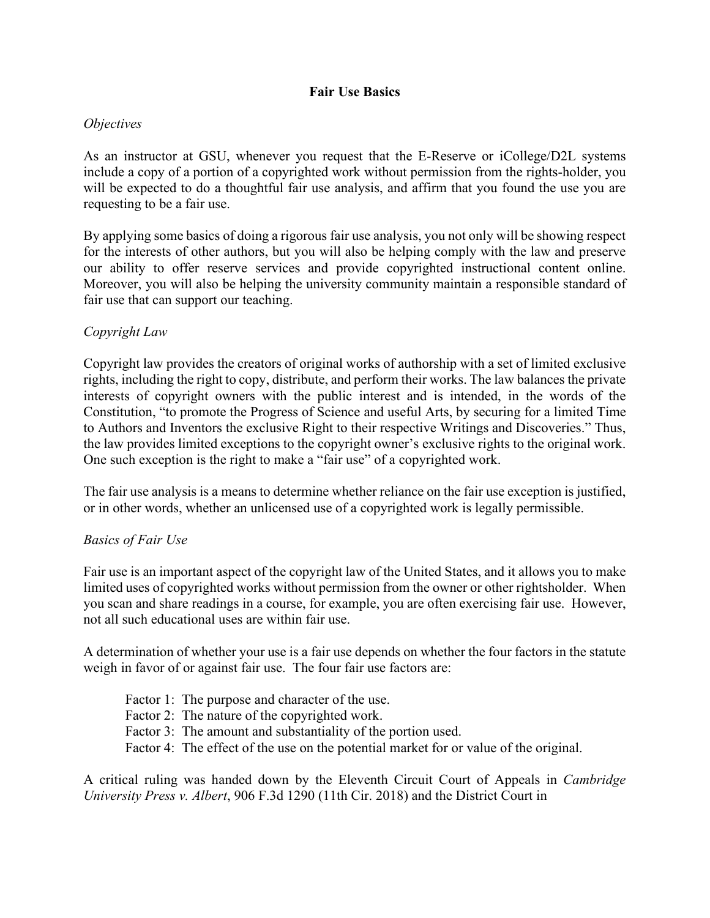## **Fair Use Basics**

## *Objectives*

As an instructor at GSU, whenever you request that the E-Reserve or iCollege/D2L systems include a copy of a portion of a copyrighted work without permission from the rights-holder, you will be expected to do a thoughtful fair use analysis, and affirm that you found the use you are requesting to be a fair use.

By applying some basics of doing a rigorous fair use analysis, you not only will be showing respect for the interests of other authors, but you will also be helping comply with the law and preserve our ability to offer reserve services and provide copyrighted instructional content online. Moreover, you will also be helping the university community maintain a responsible standard of fair use that can support our teaching.

## *Copyright Law*

Copyright law provides the creators of original works of authorship with a set of limited exclusive rights, including the right to copy, distribute, and perform their works. The law balances the private interests of copyright owners with the public interest and is intended, in the words of the Constitution, "to promote the Progress of Science and useful Arts, by securing for a limited Time to Authors and Inventors the exclusive Right to their respective Writings and Discoveries." Thus, the law provides limited exceptions to the copyright owner's exclusive rights to the original work. One such exception is the right to make a "fair use" of a copyrighted work.

The fair use analysis is a means to determine whether reliance on the fair use exception is justified, or in other words, whether an unlicensed use of a copyrighted work is legally permissible.

## *Basics of Fair Use*

Fair use is an important aspect of the copyright law of the United States, and it allows you to make limited uses of copyrighted works without permission from the owner or other rightsholder. When you scan and share readings in a course, for example, you are often exercising fair use. However, not all such educational uses are within fair use.

A determination of whether your use is a fair use depends on whether the four factors in the statute weigh in favor of or against fair use. The four fair use factors are:

- Factor 1: The purpose and character of the use.
- Factor 2: The nature of the copyrighted work.
- Factor 3: The amount and substantiality of the portion used.
- Factor 4: The effect of the use on the potential market for or value of the original.

A critical ruling was handed down by the Eleventh Circuit Court of Appeals in *Cambridge University Press v. Albert*, 906 F.3d 1290 (11th Cir. 2018) and the District Court in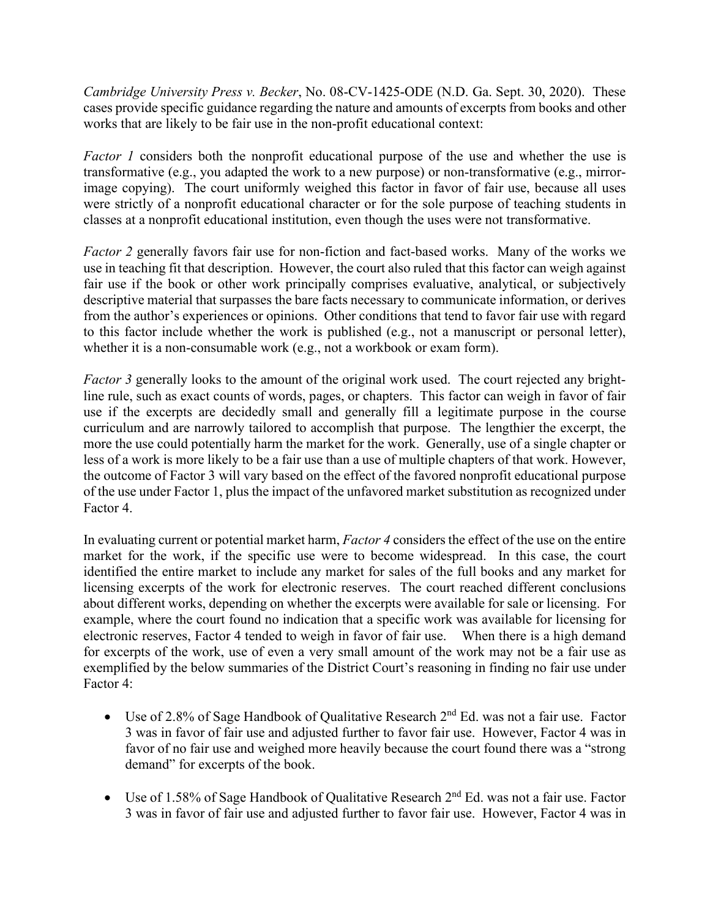*Cambridge University Press v. Becker*, No. 08-CV-1425-ODE (N.D. Ga. Sept. 30, 2020). These cases provide specific guidance regarding the nature and amounts of excerpts from books and other works that are likely to be fair use in the non-profit educational context:

*Factor 1* considers both the nonprofit educational purpose of the use and whether the use is transformative (e.g., you adapted the work to a new purpose) or non-transformative (e.g., mirrorimage copying). The court uniformly weighed this factor in favor of fair use, because all uses were strictly of a nonprofit educational character or for the sole purpose of teaching students in classes at a nonprofit educational institution, even though the uses were not transformative.

*Factor 2* generally favors fair use for non-fiction and fact-based works. Many of the works we use in teaching fit that description. However, the court also ruled that this factor can weigh against fair use if the book or other work principally comprises evaluative, analytical, or subjectively descriptive material that surpasses the bare facts necessary to communicate information, or derives from the author's experiences or opinions. Other conditions that tend to favor fair use with regard to this factor include whether the work is published (e.g., not a manuscript or personal letter), whether it is a non-consumable work (e.g., not a workbook or exam form).

*Factor 3* generally looks to the amount of the original work used. The court rejected any brightline rule, such as exact counts of words, pages, or chapters. This factor can weigh in favor of fair use if the excerpts are decidedly small and generally fill a legitimate purpose in the course curriculum and are narrowly tailored to accomplish that purpose. The lengthier the excerpt, the more the use could potentially harm the market for the work. Generally, use of a single chapter or less of a work is more likely to be a fair use than a use of multiple chapters of that work. However, the outcome of Factor 3 will vary based on the effect of the favored nonprofit educational purpose of the use under Factor 1, plus the impact of the unfavored market substitution as recognized under Factor 4.

In evaluating current or potential market harm, *Factor 4* considers the effect of the use on the entire market for the work, if the specific use were to become widespread. In this case, the court identified the entire market to include any market for sales of the full books and any market for licensing excerpts of the work for electronic reserves. The court reached different conclusions about different works, depending on whether the excerpts were available for sale or licensing. For example, where the court found no indication that a specific work was available for licensing for electronic reserves, Factor 4 tended to weigh in favor of fair use. When there is a high demand for excerpts of the work, use of even a very small amount of the work may not be a fair use as exemplified by the below summaries of the District Court's reasoning in finding no fair use under Factor 4:

- Use of 2.8% of Sage Handbook of Qualitative Research  $2<sup>nd</sup>$  Ed. was not a fair use. Factor 3 was in favor of fair use and adjusted further to favor fair use. However, Factor 4 was in favor of no fair use and weighed more heavily because the court found there was a "strong demand" for excerpts of the book.
- Use of 1.58% of Sage Handbook of Qualitative Research 2<sup>nd</sup> Ed. was not a fair use. Factor 3 was in favor of fair use and adjusted further to favor fair use. However, Factor 4 was in